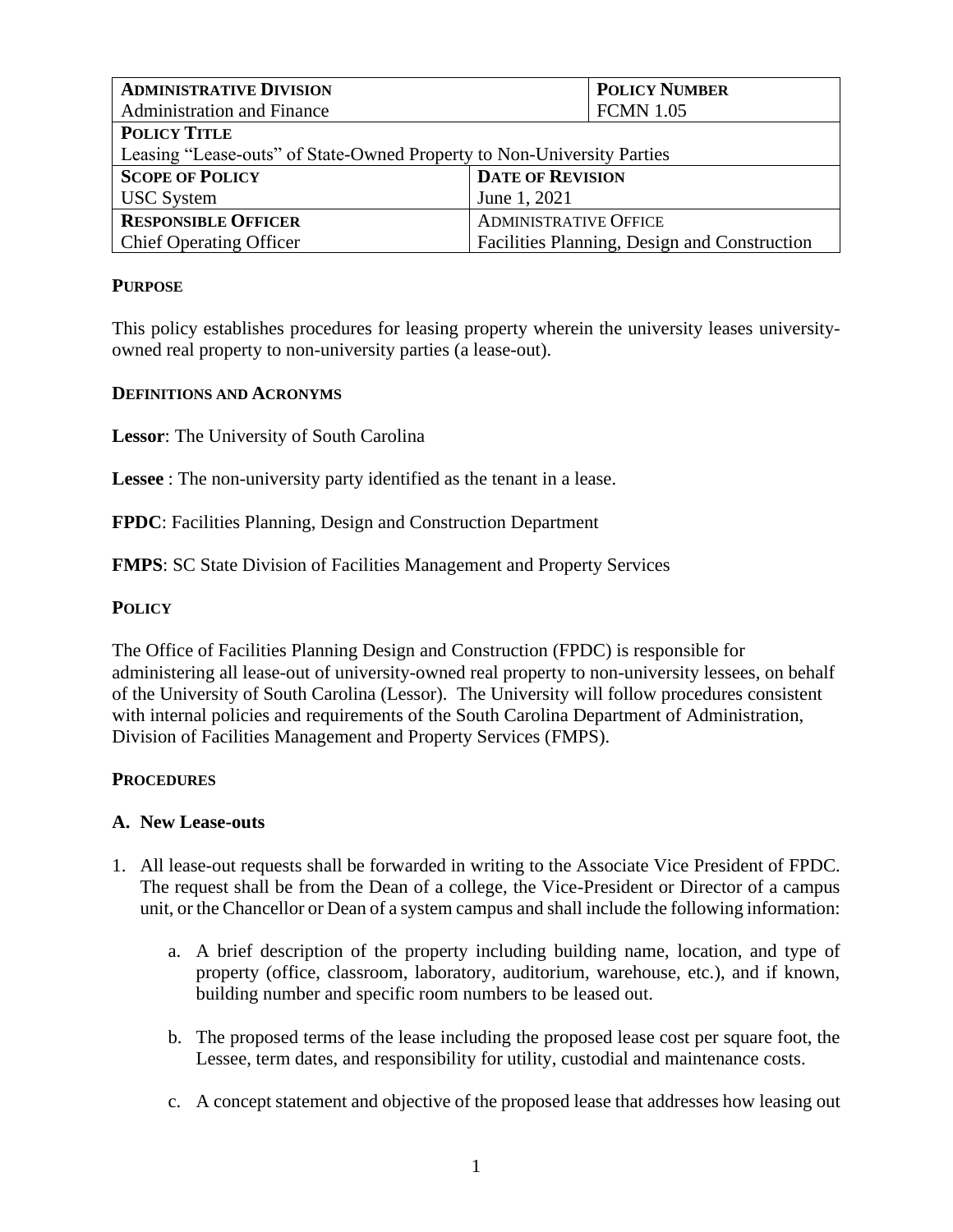| <b>ADMINISTRATIVE DIVISION</b>                                         | <b>POLICY NUMBER</b>                         |  |
|------------------------------------------------------------------------|----------------------------------------------|--|
| <b>Administration and Finance</b>                                      | <b>FCMN 1.05</b>                             |  |
| <b>POLICY TITLE</b>                                                    |                                              |  |
| Leasing "Lease-outs" of State-Owned Property to Non-University Parties |                                              |  |
| <b>SCOPE OF POLICY</b>                                                 | <b>DATE OF REVISION</b>                      |  |
| <b>USC</b> System                                                      | June 1, 2021                                 |  |
| <b>RESPONSIBLE OFFICER</b>                                             | <b>ADMINISTRATIVE OFFICE</b>                 |  |
| <b>Chief Operating Officer</b>                                         | Facilities Planning, Design and Construction |  |

# **PURPOSE**

This policy establishes procedures for leasing property wherein the university leases universityowned real property to non-university parties (a lease-out).

### **DEFINITIONS AND ACRONYMS**

**Lessor**: The University of South Carolina

**Lessee** : The non-university party identified as the tenant in a lease.

**FPDC**: Facilities Planning, Design and Construction Department

**FMPS**: SC State Division of Facilities Management and Property Services

# **POLICY**

The Office of Facilities Planning Design and Construction (FPDC) is responsible for administering all lease-out of university-owned real property to non-university lessees, on behalf of the University of South Carolina (Lessor). The University will follow procedures consistent with internal policies and requirements of the South Carolina Department of Administration, Division of Facilities Management and Property Services (FMPS).

### **PROCEDURES**

### **A. New Lease-outs**

- 1. All lease-out requests shall be forwarded in writing to the Associate Vice President of FPDC. The request shall be from the Dean of a college, the Vice-President or Director of a campus unit, or the Chancellor or Dean of a system campus and shall include the following information:
	- a. A brief description of the property including building name, location, and type of property (office, classroom, laboratory, auditorium, warehouse, etc.), and if known, building number and specific room numbers to be leased out.
	- b. The proposed terms of the lease including the proposed lease cost per square foot, the Lessee, term dates, and responsibility for utility, custodial and maintenance costs.
	- c. A concept statement and objective of the proposed lease that addresses how leasing out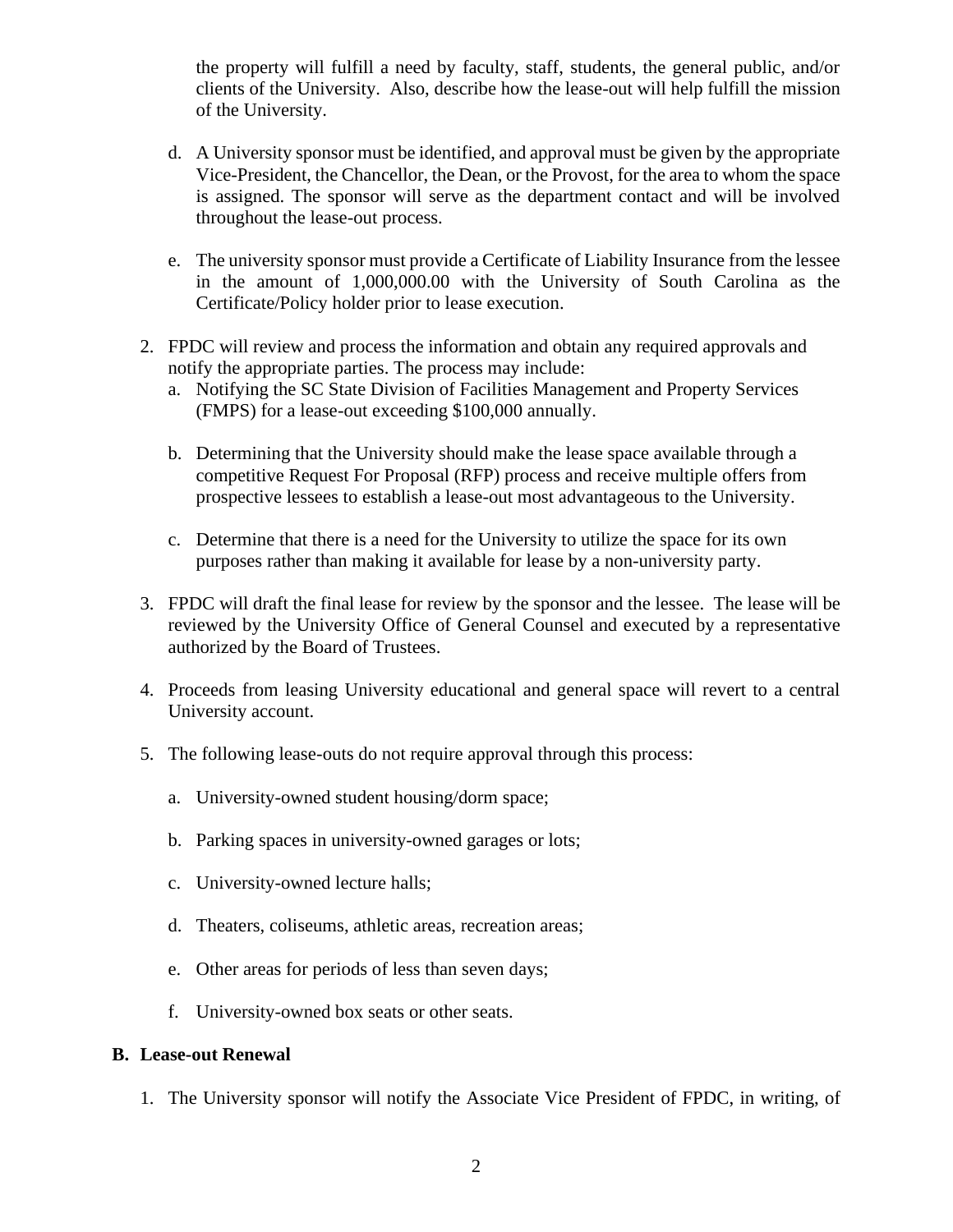the property will fulfill a need by faculty, staff, students, the general public, and/or clients of the University. Also, describe how the lease-out will help fulfill the mission of the University.

- d. A University sponsor must be identified, and approval must be given by the appropriate Vice-President, the Chancellor, the Dean, or the Provost, for the area to whom the space is assigned. The sponsor will serve as the department contact and will be involved throughout the lease-out process.
- e. The university sponsor must provide a Certificate of Liability Insurance from the lessee in the amount of 1,000,000.00 with the University of South Carolina as the Certificate/Policy holder prior to lease execution.
- 2. FPDC will review and process the information and obtain any required approvals and notify the appropriate parties. The process may include:
	- a. Notifying the SC State Division of Facilities Management and Property Services (FMPS) for a lease-out exceeding \$100,000 annually.
	- b. Determining that the University should make the lease space available through a competitive Request For Proposal (RFP) process and receive multiple offers from prospective lessees to establish a lease-out most advantageous to the University.
	- c. Determine that there is a need for the University to utilize the space for its own purposes rather than making it available for lease by a non-university party.
- 3. FPDC will draft the final lease for review by the sponsor and the lessee. The lease will be reviewed by the University Office of General Counsel and executed by a representative authorized by the Board of Trustees.
- 4. Proceeds from leasing University educational and general space will revert to a central University account.
- 5. The following lease-outs do not require approval through this process:
	- a. University-owned student housing/dorm space;
	- b. Parking spaces in university-owned garages or lots;
	- c. University-owned lecture halls;
	- d. Theaters, coliseums, athletic areas, recreation areas;
	- e. Other areas for periods of less than seven days;
	- f. University-owned box seats or other seats.

### **B. Lease-out Renewal**

1. The University sponsor will notify the Associate Vice President of FPDC, in writing, of